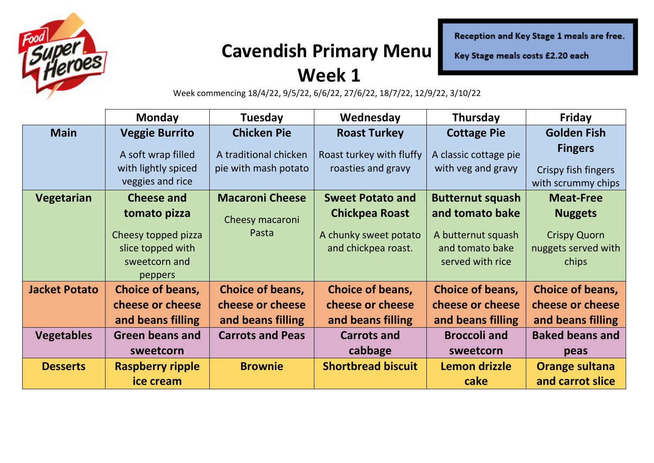

## **Cavendish Primary Menu**

Reception and Key Stage 1 meals are free.

Key Stage meals costs £2.20 each

### **Week 1**

Week commencing 18/4/22, 9/5/22, 6/6/22, 27/6/22, 18/7/22, 12/9/22, 3/10/22

|                      | <b>Monday</b>                                                 | <b>Tuesday</b>                                | Wednesday                                      | Thursday                                    | <b>Friday</b>                                               |
|----------------------|---------------------------------------------------------------|-----------------------------------------------|------------------------------------------------|---------------------------------------------|-------------------------------------------------------------|
| <b>Main</b>          | <b>Veggie Burrito</b>                                         | <b>Chicken Pie</b>                            | <b>Roast Turkey</b>                            | <b>Cottage Pie</b>                          | <b>Golden Fish</b>                                          |
|                      | A soft wrap filled<br>with lightly spiced<br>veggies and rice | A traditional chicken<br>pie with mash potato | Roast turkey with fluffy<br>roasties and gravy | A classic cottage pie<br>with veg and gravy | <b>Fingers</b><br>Crispy fish fingers<br>with scrummy chips |
| <b>Vegetarian</b>    | <b>Cheese and</b>                                             | <b>Macaroni Cheese</b>                        | <b>Sweet Potato and</b>                        | <b>Butternut squash</b>                     | <b>Meat-Free</b>                                            |
|                      | tomato pizza<br>Cheesy topped pizza                           | Cheesy macaroni<br>Pasta                      | <b>Chickpea Roast</b><br>A chunky sweet potato | and tomato bake<br>A butternut squash       | <b>Nuggets</b><br><b>Crispy Quorn</b>                       |
|                      | slice topped with<br>sweetcorn and<br>peppers                 |                                               | and chickpea roast.                            | and tomato bake<br>served with rice         | nuggets served with<br>chips                                |
| <b>Jacket Potato</b> | <b>Choice of beans,</b>                                       | <b>Choice of beans,</b>                       | <b>Choice of beans,</b>                        | <b>Choice of beans,</b>                     | Choice of beans,                                            |
|                      | cheese or cheese<br>and beans filling                         | cheese or cheese<br>and beans filling         | cheese or cheese<br>and beans filling          | cheese or cheese<br>and beans filling       | cheese or cheese<br>and beans filling                       |
| <b>Vegetables</b>    | <b>Green beans and</b>                                        | <b>Carrots and Peas</b>                       | <b>Carrots and</b>                             | <b>Broccoli and</b>                         | <b>Baked beans and</b>                                      |
|                      | sweetcorn                                                     |                                               | cabbage                                        | sweetcorn                                   | peas                                                        |
| <b>Desserts</b>      | <b>Raspberry ripple</b>                                       | <b>Brownie</b>                                | <b>Shortbread biscuit</b>                      | Lemon drizzle                               | Orange sultana                                              |
|                      | ice cream                                                     |                                               |                                                | cake                                        | and carrot slice                                            |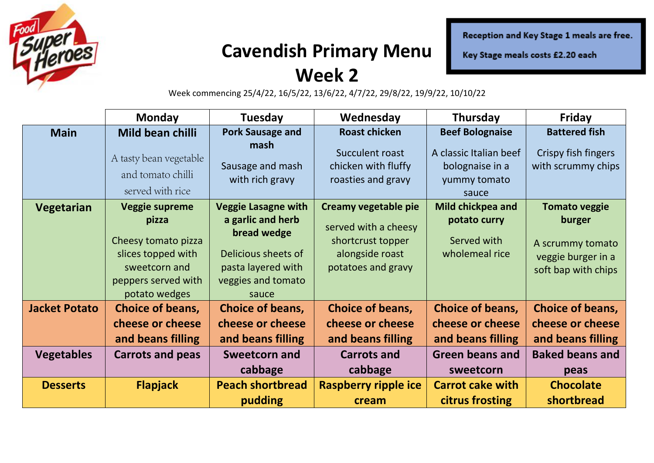

## **Cavendish Primary Menu**

Reception and Key Stage 1 meals are free.

Key Stage meals costs £2.20 each

#### **Week 2**

Week commencing 25/4/22, 16/5/22, 13/6/22, 4/7/22, 29/8/22, 19/9/22, 10/10/22

|                      | <b>Monday</b>                                                                                               | Tuesday                                                                                                      | Wednesday                                                                          | Thursday                                                           | Friday                                                                  |
|----------------------|-------------------------------------------------------------------------------------------------------------|--------------------------------------------------------------------------------------------------------------|------------------------------------------------------------------------------------|--------------------------------------------------------------------|-------------------------------------------------------------------------|
| <b>Main</b>          | Mild bean chilli                                                                                            | <b>Pork Sausage and</b>                                                                                      | <b>Roast chicken</b>                                                               | <b>Beef Bolognaise</b>                                             | <b>Battered fish</b>                                                    |
|                      | A tasty bean vegetable<br>and tomato chilli<br>served with rice                                             | mash<br>Sausage and mash<br>with rich gravy                                                                  | Succulent roast<br>chicken with fluffy<br>roasties and gravy                       | A classic Italian beef<br>bolognaise in a<br>yummy tomato<br>sauce | Crispy fish fingers<br>with scrummy chips                               |
| Vegetarian           | <b>Veggie supreme</b>                                                                                       | <b>Veggie Lasagne with</b>                                                                                   | Creamy vegetable pie                                                               | Mild chickpea and                                                  | <b>Tomato veggie</b>                                                    |
|                      | pizza<br>Cheesy tomato pizza<br>slices topped with<br>sweetcorn and<br>peppers served with<br>potato wedges | a garlic and herb<br>bread wedge<br>Delicious sheets of<br>pasta layered with<br>veggies and tomato<br>sauce | served with a cheesy<br>shortcrust topper<br>alongside roast<br>potatoes and gravy | potato curry<br>Served with<br>wholemeal rice                      | burger<br>A scrummy tomato<br>veggie burger in a<br>soft bap with chips |
| <b>Jacket Potato</b> | Choice of beans,                                                                                            | Choice of beans,                                                                                             | Choice of beans,                                                                   | <b>Choice of beans,</b>                                            | Choice of beans,                                                        |
|                      | cheese or cheese                                                                                            | cheese or cheese                                                                                             | cheese or cheese                                                                   | cheese or cheese                                                   | cheese or cheese                                                        |
|                      | and beans filling                                                                                           | and beans filling                                                                                            | and beans filling                                                                  | and beans filling                                                  | and beans filling                                                       |
| <b>Vegetables</b>    | <b>Carrots and peas</b>                                                                                     | <b>Sweetcorn and</b>                                                                                         | <b>Carrots and</b>                                                                 | <b>Green beans and</b>                                             | <b>Baked beans and</b>                                                  |
|                      |                                                                                                             | cabbage                                                                                                      | cabbage                                                                            | sweetcorn                                                          | peas                                                                    |
| <b>Desserts</b>      | <b>Flapjack</b>                                                                                             | <b>Peach shortbread</b>                                                                                      | <b>Raspberry ripple ice</b>                                                        | <b>Carrot cake with</b>                                            | <b>Chocolate</b>                                                        |
|                      |                                                                                                             | pudding                                                                                                      | cream                                                                              | citrus frosting                                                    | shortbread                                                              |